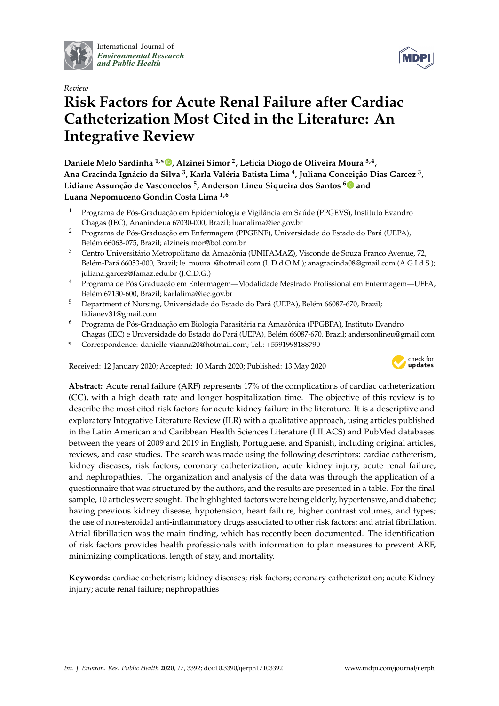

International Journal of *[Environmental Research](http://www.mdpi.com/journal/ijerph) and Public Health*



# *Review* **Risk Factors for Acute Renal Failure after Cardiac Catheterization Most Cited in the Literature: An Integrative Review**

**Daniele Melo Sardinha 1,[\\*](https://orcid.org/0000-0002-2650-2354) , Alzinei Simor <sup>2</sup> , Letícia Diogo de Oliveira Moura 3,4 , Ana Gracinda Ignácio da Silva <sup>3</sup> , Karla Valéria Batista Lima <sup>4</sup> , Juliana Conceição Dias Garcez <sup>3</sup> , Lidiane Assunção de Vasconcelos <sup>5</sup> , Anderson Lineu Siqueira dos Santos [6](https://orcid.org/0000-0002-1703-9310) and Luana Nepomuceno Gondin Costa Lima 1,6**

- <sup>1</sup> Programa de Pós-Graduação em Epidemiologia e Vigilância em Saúde (PPGEVS), Instituto Evandro Chagas (IEC), Ananindeua 67030-000, Brazil; luanalima@iec.gov.br
- <sup>2</sup> Programa de Pós-Graduação em Enfermagem (PPGENF), Universidade do Estado do Pará (UEPA), Belém 66063-075, Brazil; alzineisimor@bol.com.br
- <sup>3</sup> Centro Universitário Metropolitano da Amazônia (UNIFAMAZ), Visconde de Souza Franco Avenue, 72, Belém-Pará 66053-000, Brazil; le\_moura\_@hotmail.com (L.D.d.O.M.); anagracinda08@gmail.com (A.G.I.d.S.); juliana.garcez@famaz.edu.br (J.C.D.G.)
- <sup>4</sup> Programa de Pós Graduação em Enfermagem—Modalidade Mestrado Profissional em Enfermagem—UFPA, Belém 67130-600, Brazil; karlalima@iec.gov.br
- <sup>5</sup> Department of Nursing, Universidade do Estado do Pará (UEPA), Belém 66087-670, Brazil; lidianev31@gmail.com
- <sup>6</sup> Programa de Pós-Graduação em Biologia Parasitária na Amazônica (PPGBPA), Instituto Evandro Chagas (IEC) e Universidade do Estado do Pará (UEPA), Belém 66087-670, Brazil; andersonlineu@gmail.com
- **\*** Correspondence: danielle-vianna20@hotmail.com; Tel.: +5591998188790

Received: 12 January 2020; Accepted: 10 March 2020; Published: 13 May 2020



**Abstract:** Acute renal failure (ARF) represents 17% of the complications of cardiac catheterization (CC), with a high death rate and longer hospitalization time. The objective of this review is to describe the most cited risk factors for acute kidney failure in the literature. It is a descriptive and exploratory Integrative Literature Review (ILR) with a qualitative approach, using articles published in the Latin American and Caribbean Health Sciences Literature (LILACS) and PubMed databases between the years of 2009 and 2019 in English, Portuguese, and Spanish, including original articles, reviews, and case studies. The search was made using the following descriptors: cardiac catheterism, kidney diseases, risk factors, coronary catheterization, acute kidney injury, acute renal failure, and nephropathies. The organization and analysis of the data was through the application of a questionnaire that was structured by the authors, and the results are presented in a table. For the final sample, 10 articles were sought. The highlighted factors were being elderly, hypertensive, and diabetic; having previous kidney disease, hypotension, heart failure, higher contrast volumes, and types; the use of non-steroidal anti-inflammatory drugs associated to other risk factors; and atrial fibrillation. Atrial fibrillation was the main finding, which has recently been documented. The identification of risk factors provides health professionals with information to plan measures to prevent ARF, minimizing complications, length of stay, and mortality.

**Keywords:** cardiac catheterism; kidney diseases; risk factors; coronary catheterization; acute Kidney injury; acute renal failure; nephropathies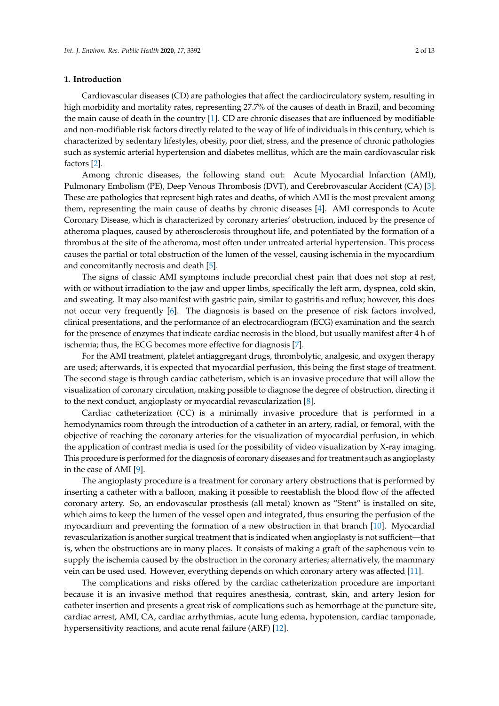## **1. Introduction**

Cardiovascular diseases (CD) are pathologies that affect the cardiocirculatory system, resulting in high morbidity and mortality rates, representing 27.7% of the causes of death in Brazil, and becoming the main cause of death in the country [\[1\]](#page-10-0). CD are chronic diseases that are influenced by modifiable and non-modifiable risk factors directly related to the way of life of individuals in this century, which is characterized by sedentary lifestyles, obesity, poor diet, stress, and the presence of chronic pathologies such as systemic arterial hypertension and diabetes mellitus, which are the main cardiovascular risk factors [\[2\]](#page-10-1).

Among chronic diseases, the following stand out: Acute Myocardial Infarction (AMI), Pulmonary Embolism (PE), Deep Venous Thrombosis (DVT), and Cerebrovascular Accident (CA) [\[3\]](#page-10-2). These are pathologies that represent high rates and deaths, of which AMI is the most prevalent among them, representing the main cause of deaths by chronic diseases [\[4\]](#page-10-3). AMI corresponds to Acute Coronary Disease, which is characterized by coronary arteries' obstruction, induced by the presence of atheroma plaques, caused by atherosclerosis throughout life, and potentiated by the formation of a thrombus at the site of the atheroma, most often under untreated arterial hypertension. This process causes the partial or total obstruction of the lumen of the vessel, causing ischemia in the myocardium and concomitantly necrosis and death [\[5\]](#page-10-4).

The signs of classic AMI symptoms include precordial chest pain that does not stop at rest, with or without irradiation to the jaw and upper limbs, specifically the left arm, dyspnea, cold skin, and sweating. It may also manifest with gastric pain, similar to gastritis and reflux; however, this does not occur very frequently [\[6\]](#page-10-5). The diagnosis is based on the presence of risk factors involved, clinical presentations, and the performance of an electrocardiogram (ECG) examination and the search for the presence of enzymes that indicate cardiac necrosis in the blood, but usually manifest after 4 h of ischemia; thus, the ECG becomes more effective for diagnosis [\[7\]](#page-10-6).

For the AMI treatment, platelet antiaggregant drugs, thrombolytic, analgesic, and oxygen therapy are used; afterwards, it is expected that myocardial perfusion, this being the first stage of treatment. The second stage is through cardiac catheterism, which is an invasive procedure that will allow the visualization of coronary circulation, making possible to diagnose the degree of obstruction, directing it to the next conduct, angioplasty or myocardial revascularization [\[8\]](#page-10-7).

Cardiac catheterization (CC) is a minimally invasive procedure that is performed in a hemodynamics room through the introduction of a catheter in an artery, radial, or femoral, with the objective of reaching the coronary arteries for the visualization of myocardial perfusion, in which the application of contrast media is used for the possibility of video visualization by X-ray imaging. This procedure is performed for the diagnosis of coronary diseases and for treatment such as angioplasty in the case of AMI [\[9\]](#page-10-8).

The angioplasty procedure is a treatment for coronary artery obstructions that is performed by inserting a catheter with a balloon, making it possible to reestablish the blood flow of the affected coronary artery. So, an endovascular prosthesis (all metal) known as "Stent" is installed on site, which aims to keep the lumen of the vessel open and integrated, thus ensuring the perfusion of the myocardium and preventing the formation of a new obstruction in that branch [\[10\]](#page-10-9). Myocardial revascularization is another surgical treatment that is indicated when angioplasty is not sufficient—that is, when the obstructions are in many places. It consists of making a graft of the saphenous vein to supply the ischemia caused by the obstruction in the coronary arteries; alternatively, the mammary vein can be used used. However, everything depends on which coronary artery was affected [\[11\]](#page-10-10).

The complications and risks offered by the cardiac catheterization procedure are important because it is an invasive method that requires anesthesia, contrast, skin, and artery lesion for catheter insertion and presents a great risk of complications such as hemorrhage at the puncture site, cardiac arrest, AMI, CA, cardiac arrhythmias, acute lung edema, hypotension, cardiac tamponade, hypersensitivity reactions, and acute renal failure (ARF) [\[12\]](#page-10-11).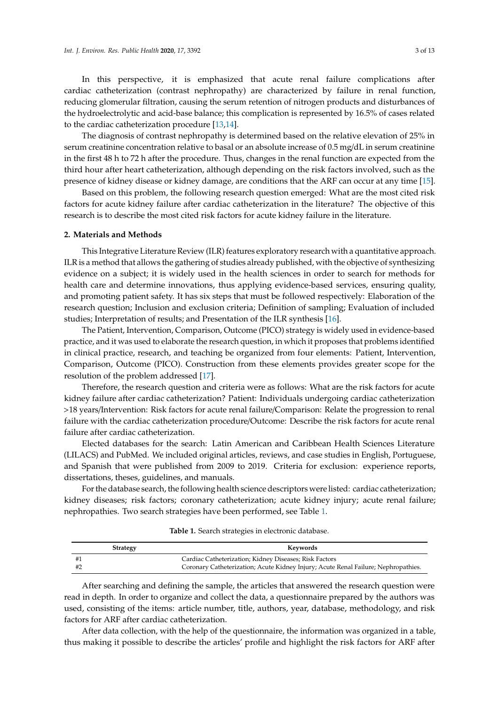In this perspective, it is emphasized that acute renal failure complications after cardiac catheterization (contrast nephropathy) are characterized by failure in renal function, reducing glomerular filtration, causing the serum retention of nitrogen products and disturbances of the hydroelectrolytic and acid-base balance; this complication is represented by 16.5% of cases related to the cardiac catheterization procedure [\[13,](#page-10-12)[14\]](#page-10-13).

The diagnosis of contrast nephropathy is determined based on the relative elevation of 25% in serum creatinine concentration relative to basal or an absolute increase of 0.5 mg/dL in serum creatinine in the first 48 h to 72 h after the procedure. Thus, changes in the renal function are expected from the third hour after heart catheterization, although depending on the risk factors involved, such as the presence of kidney disease or kidney damage, are conditions that the ARF can occur at any time [\[15\]](#page-10-14).

Based on this problem, the following research question emerged: What are the most cited risk factors for acute kidney failure after cardiac catheterization in the literature? The objective of this research is to describe the most cited risk factors for acute kidney failure in the literature.

## **2. Materials and Methods**

This Integrative Literature Review (ILR) features exploratory research with a quantitative approach. ILR is a method that allows the gathering of studies already published, with the objective of synthesizing evidence on a subject; it is widely used in the health sciences in order to search for methods for health care and determine innovations, thus applying evidence-based services, ensuring quality, and promoting patient safety. It has six steps that must be followed respectively: Elaboration of the research question; Inclusion and exclusion criteria; Definition of sampling; Evaluation of included studies; Interpretation of results; and Presentation of the ILR synthesis [\[16\]](#page-11-0).

The Patient, Intervention, Comparison, Outcome (PICO) strategy is widely used in evidence-based practice, and it was used to elaborate the research question, in which it proposes that problems identified in clinical practice, research, and teaching be organized from four elements: Patient, Intervention, Comparison, Outcome (PICO). Construction from these elements provides greater scope for the resolution of the problem addressed [\[17\]](#page-11-1).

Therefore, the research question and criteria were as follows: What are the risk factors for acute kidney failure after cardiac catheterization? Patient: Individuals undergoing cardiac catheterization >18 years/Intervention: Risk factors for acute renal failure/Comparison: Relate the progression to renal failure with the cardiac catheterization procedure/Outcome: Describe the risk factors for acute renal failure after cardiac catheterization.

Elected databases for the search: Latin American and Caribbean Health Sciences Literature (LILACS) and PubMed. We included original articles, reviews, and case studies in English, Portuguese, and Spanish that were published from 2009 to 2019. Criteria for exclusion: experience reports, dissertations, theses, guidelines, and manuals.

For the database search, the following health science descriptors were listed: cardiac catheterization; kidney diseases; risk factors; coronary catheterization; acute kidney injury; acute renal failure; nephropathies. Two search strategies have been performed, see Table [1.](#page-2-0)

|  |  |  |  |  |  | <b>Table 1.</b> Search strategies in electronic database. |  |  |
|--|--|--|--|--|--|-----------------------------------------------------------|--|--|
|--|--|--|--|--|--|-----------------------------------------------------------|--|--|

<span id="page-2-0"></span>

| Strategy | Keywords                                                                           |
|----------|------------------------------------------------------------------------------------|
|          | Cardiac Catheterization; Kidney Diseases; Risk Factors                             |
|          | Coronary Catheterization; Acute Kidney Injury; Acute Renal Failure; Nephropathies. |

After searching and defining the sample, the articles that answered the research question were read in depth. In order to organize and collect the data, a questionnaire prepared by the authors was used, consisting of the items: article number, title, authors, year, database, methodology, and risk factors for ARF after cardiac catheterization.

After data collection, with the help of the questionnaire, the information was organized in a table, thus making it possible to describe the articles' profile and highlight the risk factors for ARF after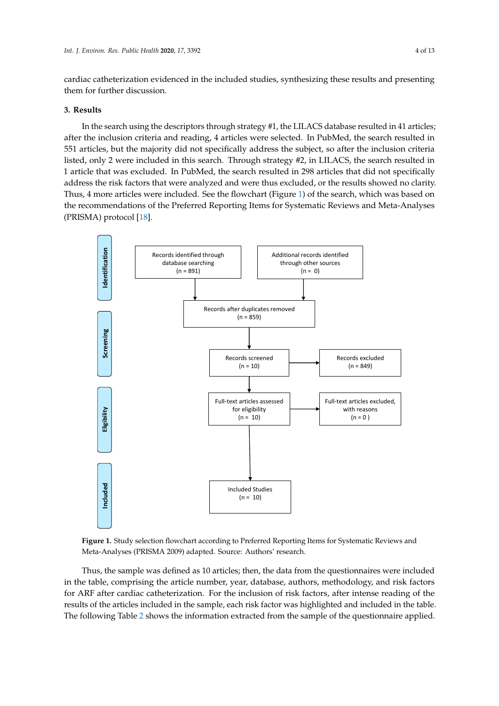cardiac catheterization evidenced in the included studies, synthesizing these results and presenting from for further discussion.

#### **3. Results 3. Results**

In the search using the descriptors through strategy #1, the LILACS database resulted in 41 articles; In the search using the descriptors through strategy #1, the LILACS database resulted in 41 after the inclusion criteria and reading, 4 articles were selected. In PubMed, the search resulted in resulted in the material criteria and coming, a material were created in the active, and concentrated in the<br>551 articles, but the majority did not specifically address the subject, so after the inclusion criteria listed, only 2 were included in this search. Through strategy #2, in LILACS, the search resulted in 1 article that was excluded. In PubMed, the search resulted in 298 articles that did not specifically address the risk factors that were analyzed and were thus excluded, or the results showed no clarity. Thus, 4 more articles were included. See the flowchart (Figure [1\)](#page-3-0) of the search, which was based on the recommendations of the Preferred Reporting Items for Systematic Reviews and Meta-Analyses (PRISMA) protocol [\[18\]](#page-11-2). cres, but the majority and not specifically address the subject, so anch the inclusion

<span id="page-3-0"></span>

Figure 1. Study selection flowchart according to Preferred Reporting Items for Systematic Reviews and Meta-Analyses (PRISMA 2009) adapted. Source: Authors' research.

Thus, the sample was defined as 10 articles; then, the data from the questionnaires were in the table, comprising the article number, year, database, authors, methodology, and risk factors for ARF after cardiac catheterization. For the inclusion of risk factors, after intense reading of the results of the articles included in the sample, each risk factor was highlighted and included in the table. Thus, the sample was defined as 10 articles; then, the data from the questionnaires were included The following Table [2](#page-6-0) shows the information extracted from the sample of the questionnaire applied.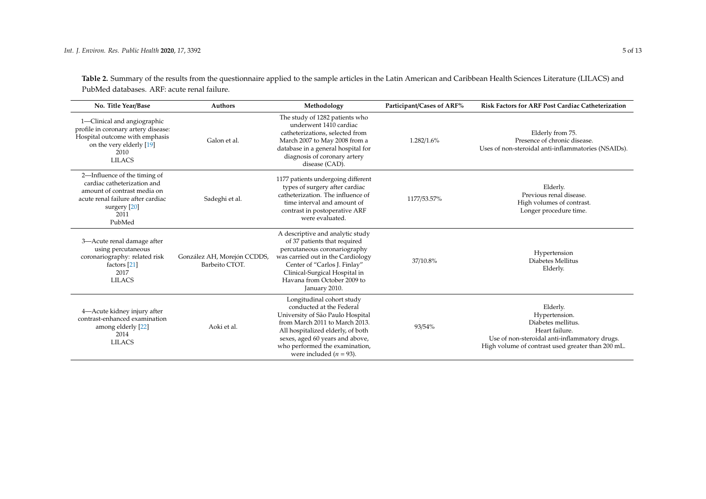**Table 2.** Summary of the results from the questionnaire applied to the sample articles in the Latin American and Caribbean Health Sciences Literature (LILACS) and PubMed databases. ARF: acute renal failure.

| No. Title Year/Base                                                                                                                                               | Authors                                       | Methodology                                                                                                                                                                                                                                                          | Participant/Cases of ARF% | Risk Factors for ARF Post Cardiac Catheterization                                                                                                                       |
|-------------------------------------------------------------------------------------------------------------------------------------------------------------------|-----------------------------------------------|----------------------------------------------------------------------------------------------------------------------------------------------------------------------------------------------------------------------------------------------------------------------|---------------------------|-------------------------------------------------------------------------------------------------------------------------------------------------------------------------|
| 1-Clinical and angiographic<br>profile in coronary artery disease:<br>Hospital outcome with emphasis<br>on the very elderly [19]<br>2010<br><b>LILACS</b>         | Galon et al.                                  | The study of 1282 patients who<br>underwent 1410 cardiac<br>catheterizations, selected from<br>March 2007 to May 2008 from a<br>database in a general hospital for<br>diagnosis of coronary artery<br>disease (CAD).                                                 | 1.282/1.6%                | Elderly from 75.<br>Presence of chronic disease.<br>Uses of non-steroidal anti-inflammatories (NSAIDs).                                                                 |
| 2-Influence of the timing of<br>cardiac catheterization and<br>amount of contrast media on<br>acute renal failure after cardiac<br>surgery [20]<br>2011<br>PubMed | Sadeghi et al.                                | 1177 patients undergoing different<br>types of surgery after cardiac<br>catheterization. The influence of<br>time interval and amount of<br>contrast in postoperative ARF<br>were evaluated.                                                                         | 1177/53.57%               | Elderly.<br>Previous renal disease.<br>High volumes of contrast.<br>Longer procedure time.                                                                              |
| 3-Acute renal damage after<br>using percutaneous<br>coronariography: related risk<br>factors $[21]$<br>2017<br><b>LILACS</b>                                      | González AH, Morejón CCDDS,<br>Barbeito CTOT. | A descriptive and analytic study<br>of 37 patients that required<br>percutaneous coronariography<br>was carried out in the Cardiology<br>Center of "Carlos J. Finlay"<br>Clinical-Surgical Hospital in<br>Havana from October 2009 to<br>January 2010.               | 37/10.8%                  | Hypertension<br>Diabetes Mellitus<br>Elderly.                                                                                                                           |
| 4-Acute kidney injury after<br>contrast-enhanced examination<br>among elderly [22]<br>2014<br><b>LILACS</b>                                                       | Aoki et al.                                   | Longitudinal cohort study<br>conducted at the Federal<br>University of São Paulo Hospital<br>from March 2011 to March 2013.<br>All hospitalized elderly, of both<br>sexes, aged 60 years and above,<br>who performed the examination,<br>were included ( $n = 93$ ). | 93/54%                    | Elderly.<br>Hypertension.<br>Diabetes mellitus.<br>Heart failure.<br>Use of non-steroidal anti-inflammatory drugs.<br>High volume of contrast used greater than 200 mL. |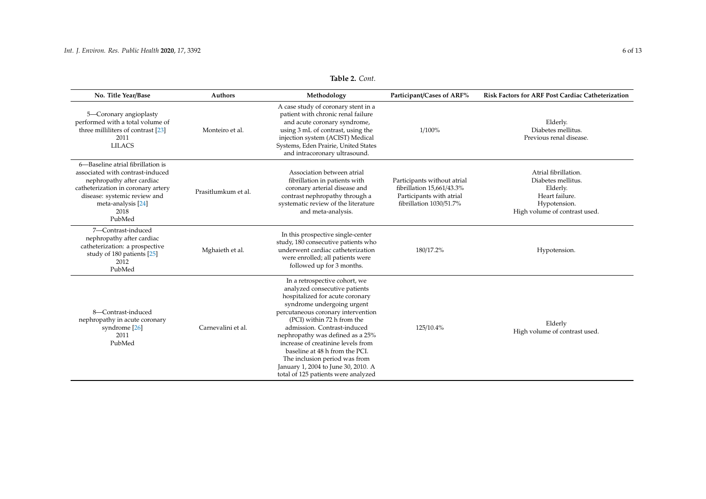| No. Title Year/Base                                                                                                                                                                                              | <b>Authors</b>      | Methodology                                                                                                                                                                                                                                                                                                                                                                                                                                                   | Participant/Cases of ARF%                                                                                       | Risk Factors for ARF Post Cardiac Catheterization                                                                         |
|------------------------------------------------------------------------------------------------------------------------------------------------------------------------------------------------------------------|---------------------|---------------------------------------------------------------------------------------------------------------------------------------------------------------------------------------------------------------------------------------------------------------------------------------------------------------------------------------------------------------------------------------------------------------------------------------------------------------|-----------------------------------------------------------------------------------------------------------------|---------------------------------------------------------------------------------------------------------------------------|
| 5-Coronary angioplasty<br>performed with a total volume of<br>three milliliters of contrast [23]<br>2011<br><b>LILACS</b>                                                                                        | Monteiro et al.     | A case study of coronary stent in a<br>patient with chronic renal failure<br>and acute coronary syndrome,<br>using 3 mL of contrast, using the<br>injection system (ACIST) Medical<br>Systems, Eden Prairie, United States<br>and intracoronary ultrasound.                                                                                                                                                                                                   | 1/100%                                                                                                          | Elderly.<br>Diabetes mellitus.<br>Previous renal disease.                                                                 |
| 6-Baseline atrial fibrillation is<br>associated with contrast-induced<br>nephropathy after cardiac<br>catheterization in coronary artery<br>disease: systemic review and<br>meta-analysis [24]<br>2018<br>PubMed | Prasitlumkum et al. | Association between atrial<br>fibrillation in patients with<br>coronary arterial disease and<br>contrast nephropathy through a<br>systematic review of the literature<br>and meta-analysis.                                                                                                                                                                                                                                                                   | Participants without atrial<br>fibrillation 15,661/43.3%<br>Participants with atrial<br>fibrillation 1030/51.7% | Atrial fibrillation.<br>Diabetes mellitus.<br>Elderly.<br>Heart failure.<br>Hypotension.<br>High volume of contrast used. |
| 7-Contrast-induced<br>nephropathy after cardiac<br>catheterization: a prospective<br>study of 180 patients [25]<br>2012<br>PubMed                                                                                | Mghaieth et al.     | In this prospective single-center<br>study, 180 consecutive patients who<br>underwent cardiac catheterization<br>were enrolled; all patients were<br>followed up for 3 months.                                                                                                                                                                                                                                                                                | 180/17.2%                                                                                                       | Hypotension.                                                                                                              |
| 8-Contrast-induced<br>nephropathy in acute coronary<br>syndrome [26]<br>2011<br>PubMed                                                                                                                           | Carnevalini et al.  | In a retrospective cohort, we<br>analyzed consecutive patients<br>hospitalized for acute coronary<br>syndrome undergoing urgent<br>percutaneous coronary intervention<br>(PCI) within 72 h from the<br>admission. Contrast-induced<br>nephropathy was defined as a 25%<br>increase of creatinine levels from<br>baseline at 48 h from the PCI.<br>The inclusion period was from<br>January 1, 2004 to June 30, 2010. A<br>total of 125 patients were analyzed | 125/10.4%                                                                                                       | Elderly<br>High volume of contrast used.                                                                                  |

**Table 2.** *Cont.*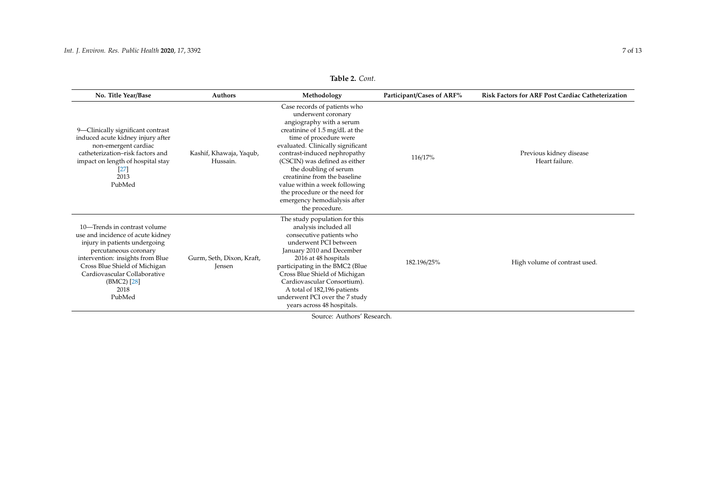<span id="page-6-0"></span>

| No. Title Year/Base                                                                                                                                                                                                                                                 | Authors                             | Methodology                                                                                                                                                                                                                                                                                                                                                                                                                   | Participant/Cases of ARF% | <b>Risk Factors for ARF Post Cardiac Catheterization</b> |
|---------------------------------------------------------------------------------------------------------------------------------------------------------------------------------------------------------------------------------------------------------------------|-------------------------------------|-------------------------------------------------------------------------------------------------------------------------------------------------------------------------------------------------------------------------------------------------------------------------------------------------------------------------------------------------------------------------------------------------------------------------------|---------------------------|----------------------------------------------------------|
| 9—Clinically significant contrast<br>induced acute kidney injury after<br>non-emergent cardiac<br>catheterization-risk factors and<br>impact on length of hospital stay<br>$[27]$<br>2013<br>PubMed                                                                 | Kashif, Khawaja, Yaqub,<br>Hussain. | Case records of patients who<br>underwent coronary<br>angiography with a serum<br>creatinine of 1.5 mg/dL at the<br>time of procedure were<br>evaluated. Clinically significant<br>contrast-induced nephropathy<br>(CSCIN) was defined as either<br>the doubling of serum<br>creatinine from the baseline<br>value within a week following<br>the procedure or the need for<br>emergency hemodialysis after<br>the procedure. | 116/17%                   | Previous kidney disease<br>Heart failure.                |
| 10—Trends in contrast volume<br>use and incidence of acute kidney<br>injury in patients undergoing<br>percutaneous coronary<br>intervention: insights from Blue<br>Cross Blue Shield of Michigan<br>Cardiovascular Collaborative<br>$(BMC2)$ [28]<br>2018<br>PubMed | Gurm, Seth, Dixon, Kraft,<br>Jensen | The study population for this<br>analysis included all<br>consecutive patients who<br>underwent PCI between<br>January 2010 and December<br>2016 at 48 hospitals<br>participating in the BMC2 (Blue<br>Cross Blue Shield of Michigan<br>Cardiovascular Consortium).<br>A total of 182,196 patients<br>underwent PCI over the 7 study<br>years across 48 hospitals.                                                            | 182.196/25%               | High volume of contrast used.                            |

**Table 2.** *Cont.*

Source: Authors' Research.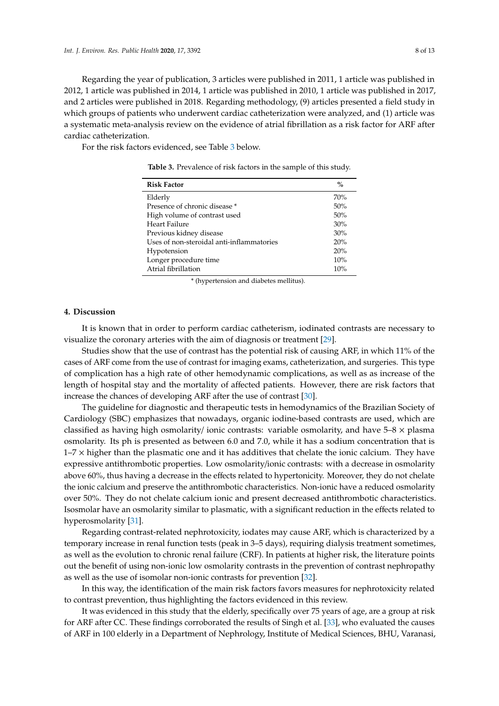Regarding the year of publication, 3 articles were published in 2011, 1 article was published in 2012, 1 article was published in 2014, 1 article was published in 2010, 1 article was published in 2017, and 2 articles were published in 2018. Regarding methodology, (9) articles presented a field study in which groups of patients who underwent cardiac catheterization were analyzed, and (1) article was a systematic meta-analysis review on the evidence of atrial fibrillation as a risk factor for ARF after cardiac catheterization.

<span id="page-7-0"></span>For the risk factors evidenced, see Table [3](#page-7-0) below.

| <b>Risk Factor</b>                        | %   |
|-------------------------------------------|-----|
| Elderly                                   | 70% |
| Presence of chronic disease *             | 50% |
| High volume of contrast used              | 50% |
| Heart Failure                             | 30% |
| Previous kidney disease                   | 30% |
| Uses of non-steroidal anti-inflammatories | 20% |
| Hypotension                               | 20% |
| Longer procedure time                     | 10% |
| Atrial fibrillation                       | 10% |

**Table 3.** Prevalence of risk factors in the sample of this study.

\* (hypertension and diabetes mellitus).

#### **4. Discussion**

It is known that in order to perform cardiac catheterism, iodinated contrasts are necessary to visualize the coronary arteries with the aim of diagnosis or treatment [\[29\]](#page-11-13).

Studies show that the use of contrast has the potential risk of causing ARF, in which 11% of the cases of ARF come from the use of contrast for imaging exams, catheterization, and surgeries. This type of complication has a high rate of other hemodynamic complications, as well as as increase of the length of hospital stay and the mortality of affected patients. However, there are risk factors that increase the chances of developing ARF after the use of contrast [\[30\]](#page-11-14).

The guideline for diagnostic and therapeutic tests in hemodynamics of the Brazilian Society of Cardiology (SBC) emphasizes that nowadays, organic iodine-based contrasts are used, which are classified as having high osmolarity/ ionic contrasts: variable osmolarity, and have  $5-8 \times$  plasma osmolarity. Its ph is presented as between 6.0 and 7.0, while it has a sodium concentration that is  $1-7 \times$  higher than the plasmatic one and it has additives that chelate the ionic calcium. They have expressive antithrombotic properties. Low osmolarity/ionic contrasts: with a decrease in osmolarity above 60%, thus having a decrease in the effects related to hypertonicity. Moreover, they do not chelate the ionic calcium and preserve the antithrombotic characteristics. Non-ionic have a reduced osmolarity over 50%. They do not chelate calcium ionic and present decreased antithrombotic characteristics. Isosmolar have an osmolarity similar to plasmatic, with a significant reduction in the effects related to hyperosmolarity [\[31\]](#page-11-15).

Regarding contrast-related nephrotoxicity, iodates may cause ARF, which is characterized by a temporary increase in renal function tests (peak in 3–5 days), requiring dialysis treatment sometimes, as well as the evolution to chronic renal failure (CRF). In patients at higher risk, the literature points out the benefit of using non-ionic low osmolarity contrasts in the prevention of contrast nephropathy as well as the use of isomolar non-ionic contrasts for prevention [\[32\]](#page-11-16).

In this way, the identification of the main risk factors favors measures for nephrotoxicity related to contrast prevention, thus highlighting the factors evidenced in this review.

It was evidenced in this study that the elderly, specifically over 75 years of age, are a group at risk for ARF after CC. These findings corroborated the results of Singh et al. [\[33\]](#page-11-17), who evaluated the causes of ARF in 100 elderly in a Department of Nephrology, Institute of Medical Sciences, BHU, Varanasi,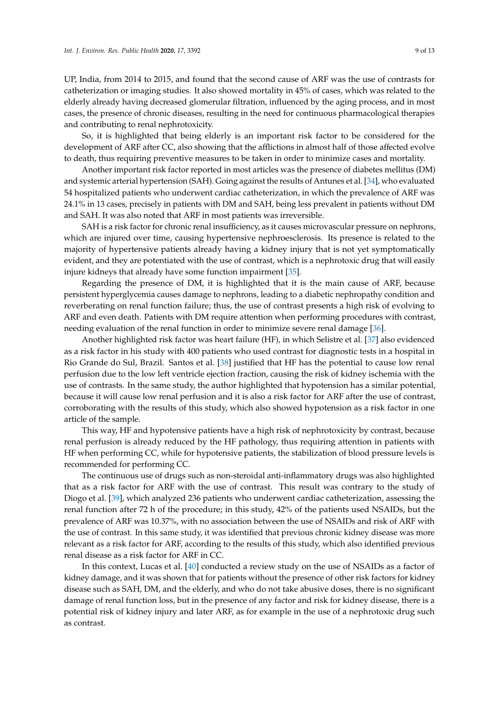UP, India, from 2014 to 2015, and found that the second cause of ARF was the use of contrasts for catheterization or imaging studies. It also showed mortality in 45% of cases, which was related to the elderly already having decreased glomerular filtration, influenced by the aging process, and in most cases, the presence of chronic diseases, resulting in the need for continuous pharmacological therapies and contributing to renal nephrotoxicity.

So, it is highlighted that being elderly is an important risk factor to be considered for the development of ARF after CC, also showing that the afflictions in almost half of those affected evolve to death, thus requiring preventive measures to be taken in order to minimize cases and mortality.

Another important risk factor reported in most articles was the presence of diabetes mellitus (DM) and systemic arterial hypertension (SAH). Going against the results of Antunes et al. [\[34\]](#page-11-18), who evaluated 54 hospitalized patients who underwent cardiac catheterization, in which the prevalence of ARF was 24.1% in 13 cases, precisely in patients with DM and SAH, being less prevalent in patients without DM and SAH. It was also noted that ARF in most patients was irreversible.

SAH is a risk factor for chronic renal insufficiency, as it causes microvascular pressure on nephrons, which are injured over time, causing hypertensive nephroesclerosis. Its presence is related to the majority of hypertensive patients already having a kidney injury that is not yet symptomatically evident, and they are potentiated with the use of contrast, which is a nephrotoxic drug that will easily injure kidneys that already have some function impairment [\[35\]](#page-11-19).

Regarding the presence of DM, it is highlighted that it is the main cause of ARF, because persistent hyperglycemia causes damage to nephrons, leading to a diabetic nephropathy condition and reverberating on renal function failure; thus, the use of contrast presents a high risk of evolving to ARF and even death. Patients with DM require attention when performing procedures with contrast, needing evaluation of the renal function in order to minimize severe renal damage [\[36\]](#page-12-0).

Another highlighted risk factor was heart failure (HF), in which Selistre et al. [\[37\]](#page-12-1) also evidenced as a risk factor in his study with 400 patients who used contrast for diagnostic tests in a hospital in Rio Grande do Sul, Brazil. Santos et al. [\[38\]](#page-12-2) justified that HF has the potential to cause low renal perfusion due to the low left ventricle ejection fraction, causing the risk of kidney ischemia with the use of contrasts. In the same study, the author highlighted that hypotension has a similar potential, because it will cause low renal perfusion and it is also a risk factor for ARF after the use of contrast, corroborating with the results of this study, which also showed hypotension as a risk factor in one article of the sample.

This way, HF and hypotensive patients have a high risk of nephrotoxicity by contrast, because renal perfusion is already reduced by the HF pathology, thus requiring attention in patients with HF when performing CC, while for hypotensive patients, the stabilization of blood pressure levels is recommended for performing CC.

The continuous use of drugs such as non-steroidal anti-inflammatory drugs was also highlighted that as a risk factor for ARF with the use of contrast. This result was contrary to the study of Diogo et al. [\[39\]](#page-12-3), which analyzed 236 patients who underwent cardiac catheterization, assessing the renal function after 72 h of the procedure; in this study, 42% of the patients used NSAIDs, but the prevalence of ARF was 10.37%, with no association between the use of NSAIDs and risk of ARF with the use of contrast. In this same study, it was identified that previous chronic kidney disease was more relevant as a risk factor for ARF, according to the results of this study, which also identified previous renal disease as a risk factor for ARF in CC.

In this context, Lucas et al. [\[40\]](#page-12-4) conducted a review study on the use of NSAIDs as a factor of kidney damage, and it was shown that for patients without the presence of other risk factors for kidney disease such as SAH, DM, and the elderly, and who do not take abusive doses, there is no significant damage of renal function loss, but in the presence of any factor and risk for kidney disease, there is a potential risk of kidney injury and later ARF, as for example in the use of a nephrotoxic drug such as contrast.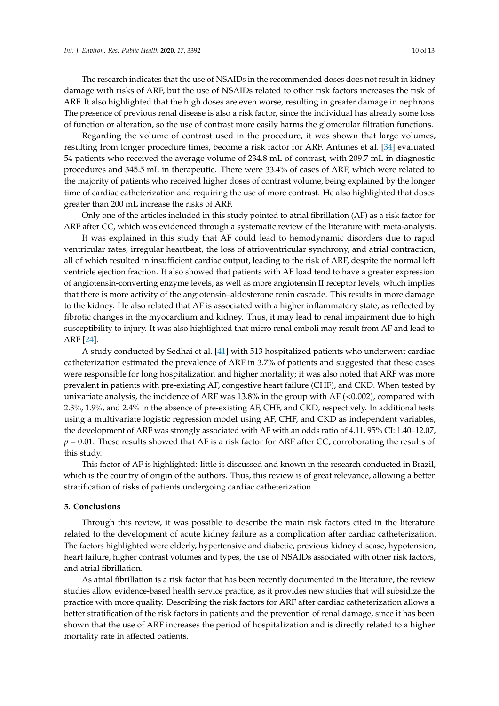The research indicates that the use of NSAIDs in the recommended doses does not result in kidney damage with risks of ARF, but the use of NSAIDs related to other risk factors increases the risk of ARF. It also highlighted that the high doses are even worse, resulting in greater damage in nephrons. The presence of previous renal disease is also a risk factor, since the individual has already some loss of function or alteration, so the use of contrast more easily harms the glomerular filtration functions.

Regarding the volume of contrast used in the procedure, it was shown that large volumes, resulting from longer procedure times, become a risk factor for ARF. Antunes et al. [\[34\]](#page-11-18) evaluated 54 patients who received the average volume of 234.8 mL of contrast, with 209.7 mL in diagnostic procedures and 345.5 mL in therapeutic. There were 33.4% of cases of ARF, which were related to the majority of patients who received higher doses of contrast volume, being explained by the longer time of cardiac catheterization and requiring the use of more contrast. He also highlighted that doses greater than 200 mL increase the risks of ARF.

Only one of the articles included in this study pointed to atrial fibrillation (AF) as a risk factor for ARF after CC, which was evidenced through a systematic review of the literature with meta-analysis.

It was explained in this study that AF could lead to hemodynamic disorders due to rapid ventricular rates, irregular heartbeat, the loss of atrioventricular synchrony, and atrial contraction, all of which resulted in insufficient cardiac output, leading to the risk of ARF, despite the normal left ventricle ejection fraction. It also showed that patients with AF load tend to have a greater expression of angiotensin-converting enzyme levels, as well as more angiotensin II receptor levels, which implies that there is more activity of the angiotensin–aldosterone renin cascade. This results in more damage to the kidney. He also related that AF is associated with a higher inflammatory state, as reflected by fibrotic changes in the myocardium and kidney. Thus, it may lead to renal impairment due to high susceptibility to injury. It was also highlighted that micro renal emboli may result from AF and lead to ARF [\[24\]](#page-11-20).

A study conducted by Sedhai et al. [\[41\]](#page-12-5) with 513 hospitalized patients who underwent cardiac catheterization estimated the prevalence of ARF in 3.7% of patients and suggested that these cases were responsible for long hospitalization and higher mortality; it was also noted that ARF was more prevalent in patients with pre-existing AF, congestive heart failure (CHF), and CKD. When tested by univariate analysis, the incidence of ARF was  $13.8\%$  in the group with AF (<0.002), compared with 2.3%, 1.9%, and 2.4% in the absence of pre-existing AF, CHF, and CKD, respectively. In additional tests using a multivariate logistic regression model using AF, CHF, and CKD as independent variables, the development of ARF was strongly associated with AF with an odds ratio of 4.11, 95% CI: 1.40–12.07, *p* = 0.01. These results showed that AF is a risk factor for ARF after CC, corroborating the results of this study.

This factor of AF is highlighted: little is discussed and known in the research conducted in Brazil, which is the country of origin of the authors. Thus, this review is of great relevance, allowing a better stratification of risks of patients undergoing cardiac catheterization.

#### **5. Conclusions**

Through this review, it was possible to describe the main risk factors cited in the literature related to the development of acute kidney failure as a complication after cardiac catheterization. The factors highlighted were elderly, hypertensive and diabetic, previous kidney disease, hypotension, heart failure, higher contrast volumes and types, the use of NSAIDs associated with other risk factors, and atrial fibrillation.

As atrial fibrillation is a risk factor that has been recently documented in the literature, the review studies allow evidence-based health service practice, as it provides new studies that will subsidize the practice with more quality. Describing the risk factors for ARF after cardiac catheterization allows a better stratification of the risk factors in patients and the prevention of renal damage, since it has been shown that the use of ARF increases the period of hospitalization and is directly related to a higher mortality rate in affected patients.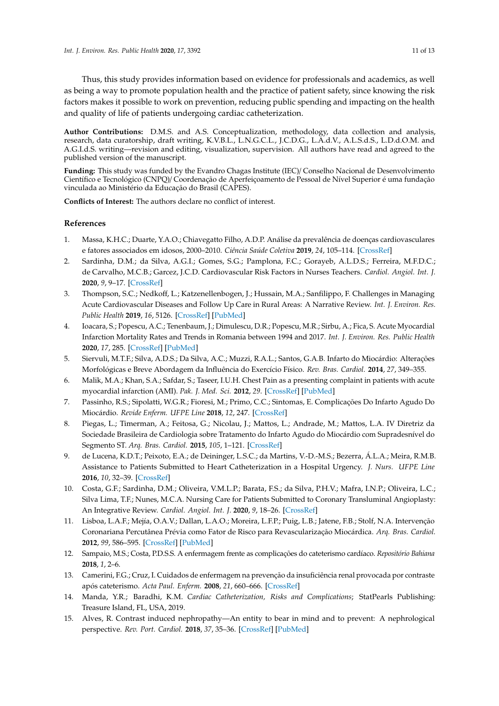Thus, this study provides information based on evidence for professionals and academics, as well as being a way to promote population health and the practice of patient safety, since knowing the risk factors makes it possible to work on prevention, reducing public spending and impacting on the health and quality of life of patients undergoing cardiac catheterization.

**Author Contributions:** D.M.S. and A.S. Conceptualization, methodology, data collection and analysis, research, data curatorship, draft writing, K.V.B.L., L.N.G.C.L., J.C.D.G., L.A.d.V., A.L.S.d.S., L.D.d.O.M. and A.G.I.d.S. writing—revision and editing, visualization, supervision. All authors have read and agreed to the published version of the manuscript.

**Funding:** This study was funded by the Evandro Chagas Institute (IEC)/ Conselho Nacional de Desenvolvimento Científico e Tecnológico (CNPQ)/ Coordenação de Aperfeiçoamento de Pessoal de Nível Superior é uma fundação vinculada ao Ministério da Educação do Brasil (CAPES).

**Conflicts of Interest:** The authors declare no conflict of interest.

# **References**

- <span id="page-10-0"></span>1. Massa, K.H.C.; Duarte, Y.A.O.; Chiavegatto Filho, A.D.P. Análise da prevalência de doenças cardiovasculares e fatores associados em idosos, 2000–2010. *Ciência Saúde Coletiva* **2019**, *24*, 105–114. [\[CrossRef\]](http://dx.doi.org/10.1590/1413-81232018241.02072017)
- <span id="page-10-1"></span>2. Sardinha, D.M.; da Silva, A.G.I.; Gomes, S.G.; Pamplona, F.C.; Gorayeb, A.L.D.S.; Ferreira, M.F.D.C.; de Carvalho, M.C.B.; Garcez, J.C.D. Cardiovascular Risk Factors in Nurses Teachers. *Cardiol. Angiol. Int. J.* **2020**, *9*, 9–17. [\[CrossRef\]](http://dx.doi.org/10.9734/ca/2020/v9i130125)
- <span id="page-10-2"></span>3. Thompson, S.C.; Nedkoff, L.; Katzenellenbogen, J.; Hussain, M.A.; Sanfilippo, F. Challenges in Managing Acute Cardiovascular Diseases and Follow Up Care in Rural Areas: A Narrative Review. *Int. J. Environ. Res. Public Health* **2019**, *16*, 5126. [\[CrossRef\]](http://dx.doi.org/10.3390/ijerph16245126) [\[PubMed\]](http://www.ncbi.nlm.nih.gov/pubmed/31847490)
- <span id="page-10-3"></span>4. Ioacara, S.; Popescu, A.C.; Tenenbaum, J.; Dimulescu, D.R.; Popescu, M.R.; Sirbu, A.; Fica, S. Acute Myocardial Infarction Mortality Rates and Trends in Romania between 1994 and 2017. *Int. J. Environ. Res. Public Health* **2020**, *17*, 285. [\[CrossRef\]](http://dx.doi.org/10.3390/ijerph17010285) [\[PubMed\]](http://www.ncbi.nlm.nih.gov/pubmed/31906114)
- <span id="page-10-4"></span>5. Siervuli, M.T.F.; Silva, A.D.S.; Da Silva, A.C.; Muzzi, R.A.L.; Santos, G.A.B. Infarto do Miocárdio: Alterações Morfológicas e Breve Abordagem da Influência do Exercício Físico. *Rev. Bras. Cardiol.* **2014**, *27*, 349–355.
- <span id="page-10-5"></span>6. Malik, M.A.; Khan, S.A.; Safdar, S.; Taseer, I.U.H. Chest Pain as a presenting complaint in patients with acute myocardial infarction (AMI). *Pak. J. Med. Sci.* **2012**, *29*. [\[CrossRef\]](http://dx.doi.org/10.12669/pjms.292.2921) [\[PubMed\]](http://www.ncbi.nlm.nih.gov/pubmed/24353577)
- <span id="page-10-6"></span>7. Passinho, R.S.; Sipolatti, W.G.R.; Fioresi, M.; Primo, C.C.; Sintomas, E. Complicações Do Infarto Agudo Do Miocárdio. *Revide Enferm. UFPE Line* **2018**, *12*, 247. [\[CrossRef\]](http://dx.doi.org/10.5205/1981-8963-v12i1a22664p247-264-2018)
- <span id="page-10-7"></span>8. Piegas, L.; Timerman, A.; Feitosa, G.; Nicolau, J.; Mattos, L.; Andrade, M.; Mattos, L.A. IV Diretriz da Sociedade Brasileira de Cardiologia sobre Tratamento do Infarto Agudo do Miocárdio com Supradesnível do Segmento ST. *Arq. Bras. Cardiol.* **2015**, *105*, 1–121. [\[CrossRef\]](http://dx.doi.org/10.5935/abc.20150107)
- <span id="page-10-8"></span>9. de Lucena, K.D.T.; Peixoto, E.A.; de Deininger, L.S.C.; da Martins, V.-D.-M.S.; Bezerra, Á.L.A.; Meira, R.M.B. Assistance to Patients Submitted to Heart Catheterization in a Hospital Urgency. *J. Nurs. UFPE Line* **2016**, *10*, 32–39. [\[CrossRef\]](http://dx.doi.org/10.5205/reuol.8423-73529-1-RV1001201605)
- <span id="page-10-9"></span>10. Costa, G.F.; Sardinha, D.M.; Oliveira, V.M.L.P.; Barata, F.S.; da Silva, P.H.V.; Mafra, I.N.P.; Oliveira, L.C.; Silva Lima, T.F.; Nunes, M.C.A. Nursing Care for Patients Submitted to Coronary Transluminal Angioplasty: An Integrative Review. *Cardiol. Angiol. Int. J.* **2020**, *9*, 18–26. [\[CrossRef\]](http://dx.doi.org/10.9734/ca/2020/v9i130126)
- <span id="page-10-10"></span>11. Lisboa, L.A.F.; Mejía, O.A.V.; Dallan, L.A.O.; Moreira, L.F.P.; Puig, L.B.; Jatene, F.B.; Stolf, N.A. Intervenção Coronariana Percutânea Prévia como Fator de Risco para Revascularização Miocárdica. *Arq. Bras. Cardiol.* **2012**, *99*, 586–595. [\[CrossRef\]](http://dx.doi.org/10.1590/S0066-782X2012005000057) [\[PubMed\]](http://www.ncbi.nlm.nih.gov/pubmed/22735865)
- <span id="page-10-11"></span>12. Sampaio, M.S.; Costa, P.D.S.S. A enfermagem frente as complicações do cateterismo cardíaco. *Repositório Bahiana* **2018**, *1*, 2–6.
- <span id="page-10-12"></span>13. Camerini, F.G.; Cruz, I. Cuidados de enfermagem na prevenção da insuficiência renal provocada por contraste após cateterismo. *Acta Paul. Enferm.* **2008**, *21*, 660–666. [\[CrossRef\]](http://dx.doi.org/10.1590/S0103-21002008000400020)
- <span id="page-10-13"></span>14. Manda, Y.R.; Baradhi, K.M. *Cardiac Catheterization, Risks and Complications*; StatPearls Publishing: Treasure Island, FL, USA, 2019.
- <span id="page-10-14"></span>15. Alves, R. Contrast induced nephropathy—An entity to bear in mind and to prevent: A nephrological perspective. *Rev. Port. Cardiol.* **2018**, *37*, 35–36. [\[CrossRef\]](http://dx.doi.org/10.1016/j.repc.2017.11.002) [\[PubMed\]](http://www.ncbi.nlm.nih.gov/pubmed/29331502)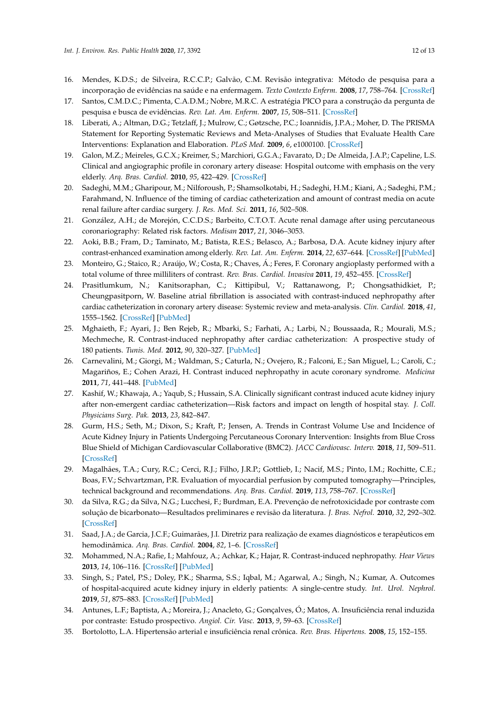- <span id="page-11-8"></span><span id="page-11-7"></span><span id="page-11-6"></span><span id="page-11-5"></span><span id="page-11-4"></span><span id="page-11-3"></span><span id="page-11-0"></span>16. Mendes, K.D.S.; de Silveira, R.C.C.P.; Galvão, C.M. Revisão integrativa: Método de pesquisa para a incorporação de evidências na saúde e na enfermagem. *Texto Contexto Enferm.* **2008**, *17*, 758–764. [\[CrossRef\]](http://dx.doi.org/10.1590/S0104-07072008000400018)
- <span id="page-11-1"></span>17. Santos, C.M.D.C.; Pimenta, C.A.D.M.; Nobre, M.R.C. A estratégia PICO para a construção da pergunta de pesquisa e busca de evidências. *Rev. Lat. Am. Enferm.* **2007**, *15*, 508–511. [\[CrossRef\]](http://dx.doi.org/10.1590/S0104-11692007000300023)
- <span id="page-11-9"></span><span id="page-11-2"></span>18. Liberati, A.; Altman, D.G.; Tetzlaff, J.; Mulrow, C.; Gøtzsche, P.C.; Ioannidis, J.P.A.; Moher, D. The PRISMA Statement for Reporting Systematic Reviews and Meta-Analyses of Studies that Evaluate Health Care Interventions: Explanation and Elaboration. *PLoS Med.* **2009**, *6*, e1000100. [\[CrossRef\]](http://dx.doi.org/10.1371/journal.pmed.1000100)
- <span id="page-11-10"></span>19. Galon, M.Z.; Meireles, G.C.X.; Kreimer, S.; Marchiori, G.G.A.; Favarato, D.; De Almeida, J.A.P.; Capeline, L.S. Clinical and angiographic profile in coronary artery disease: Hospital outcome with emphasis on the very elderly. *Arq. Bras. Cardiol.* **2010**, *95*, 422–429. [\[CrossRef\]](http://dx.doi.org/10.1590/S0066-782X2010005000127)
- <span id="page-11-11"></span>20. Sadeghi, M.M.; Gharipour, M.; Nilforoush, P.; Shamsolkotabi, H.; Sadeghi, H.M.; Kiani, A.; Sadeghi, P.M.; Farahmand, N. Influence of the timing of cardiac catheterization and amount of contrast media on acute renal failure after cardiac surgery. *J. Res. Med. Sci.* **2011**, *16*, 502–508.
- <span id="page-11-12"></span>21. González, A.H.; de Morejón, C.C.D.S.; Barbeito, C.T.O.T. Acute renal damage after using percutaneous coronariography: Related risk factors. *Medisan* **2017**, *21*, 3046–3053.
- 22. Aoki, B.B.; Fram, D.; Taminato, M.; Batista, R.E.S.; Belasco, A.; Barbosa, D.A. Acute kidney injury after contrast-enhanced examination among elderly. *Rev. Lat. Am. Enferm.* **2014**, *22*, 637–644. [\[CrossRef\]](http://dx.doi.org/10.1590/0104-1169.3440.2462) [\[PubMed\]](http://www.ncbi.nlm.nih.gov/pubmed/25296148)
- 23. Monteiro, G.; Staico, R.; Araújo, W.; Costa, R.; Chaves, Á.; Feres, F. Coronary angioplasty performed with a total volume of three milliliters of contrast. *Rev. Bras. Cardiol. Invasiva* **2011**, *19*, 452–455. [\[CrossRef\]](http://dx.doi.org/10.1590/S2179-83972011000400019)
- <span id="page-11-20"></span>24. Prasitlumkum, N.; Kanitsoraphan, C.; Kittipibul, V.; Rattanawong, P.; Chongsathidkiet, P.; Cheungpasitporn, W. Baseline atrial fibrillation is associated with contrast-induced nephropathy after cardiac catheterization in coronary artery disease: Systemic review and meta-analysis. *Clin. Cardiol.* **2018**, *41*, 1555–1562. [\[CrossRef\]](http://dx.doi.org/10.1002/clc.23100) [\[PubMed\]](http://www.ncbi.nlm.nih.gov/pubmed/30328129)
- 25. Mghaieth, F.; Ayari, J.; Ben Rejeb, R.; Mbarki, S.; Farhati, A.; Larbi, N.; Boussaada, R.; Mourali, M.S.; Mechmeche, R. Contrast-induced nephropathy after cardiac catheterization: A prospective study of 180 patients. *Tunis. Med.* **2012**, *90*, 320–327. [\[PubMed\]](http://www.ncbi.nlm.nih.gov/pubmed/22535348)
- 26. Carnevalini, M.; Giorgi, M.; Waldman, S.; Caturla, N.; Ovejero, R.; Falconi, E.; San Miguel, L.; Caroli, C.; Magariños, E.; Cohen Arazi, H. Contrast induced nephropathy in acute coronary syndrome. *Medicina* **2011**, *71*, 441–448. [\[PubMed\]](http://www.ncbi.nlm.nih.gov/pubmed/22057170)
- 27. Kashif, W.; Khawaja, A.; Yaqub, S.; Hussain, S.A. Clinically significant contrast induced acute kidney injury after non-emergent cardiac catheterization—Risk factors and impact on length of hospital stay. *J. Coll. Physicians Surg. Pak.* **2013**, *23*, 842–847.
- 28. Gurm, H.S.; Seth, M.; Dixon, S.; Kraft, P.; Jensen, A. Trends in Contrast Volume Use and Incidence of Acute Kidney Injury in Patients Undergoing Percutaneous Coronary Intervention: Insights from Blue Cross Blue Shield of Michigan Cardiovascular Collaborative (BMC2). *JACC Cardiovasc. Interv.* **2018**, *11*, 509–511. [\[CrossRef\]](http://dx.doi.org/10.1016/j.jcin.2017.10.018)
- <span id="page-11-13"></span>29. Magalhães, T.A.; Cury, R.C.; Cerci, R.J.; Filho, J.R.P.; Gottlieb, I.; Nacif, M.S.; Pinto, I.M.; Rochitte, C.E.; Boas, F.V.; Schvartzman, P.R. Evaluation of myocardial perfusion by computed tomography—Principles, technical background and recommendations. *Arq. Bras. Cardiol.* **2019**, *113*, 758–767. [\[CrossRef\]](http://dx.doi.org/10.5935/abc.20190217)
- <span id="page-11-14"></span>30. da Silva, R.G.; da Silva, N.G.; Lucchesi, F.; Burdman, E.A. Prevenção de nefrotoxicidade por contraste com solução de bicarbonato—Resultados preliminares e revisão da literatura. *J. Bras. Nefrol.* **2010**, *32*, 292–302. [\[CrossRef\]](http://dx.doi.org/10.1590/S0101-28002010000300012)
- <span id="page-11-15"></span>31. Saad, J.A.; de Garcia, J.C.F.; Guimarães, J.I. Diretriz para realização de exames diagnósticos e terapêuticos em hemodinâmica. *Arq. Bras. Cardiol.* **2004**, *82*, 1–6. [\[CrossRef\]](http://dx.doi.org/10.1590/S0066-782X2004000700001)
- <span id="page-11-16"></span>32. Mohammed, N.A.; Rafie, I.; Mahfouz, A.; Achkar, K.; Hajar, R. Contrast-induced nephropathy. *Hear Views* **2013**, *14*, 106–116. [\[CrossRef\]](http://dx.doi.org/10.4103/1995-705X.125926) [\[PubMed\]](http://www.ncbi.nlm.nih.gov/pubmed/24696755)
- <span id="page-11-17"></span>33. Singh, S.; Patel, P.S.; Doley, P.K.; Sharma, S.S.; Iqbal, M.; Agarwal, A.; Singh, N.; Kumar, A. Outcomes of hospital-acquired acute kidney injury in elderly patients: A single-centre study. *Int. Urol. Nephrol.* **2019**, *51*, 875–883. [\[CrossRef\]](http://dx.doi.org/10.1007/s11255-019-02130-4) [\[PubMed\]](http://www.ncbi.nlm.nih.gov/pubmed/30888600)
- <span id="page-11-18"></span>34. Antunes, L.F.; Baptista, A.; Moreira, J.; Anacleto, G.; Gonçalves, Ó.; Matos, A. Insuficiência renal induzida por contraste: Estudo prospectivo. *Angiol. Cir. Vasc.* **2013**, *9*, 59–63. [\[CrossRef\]](http://dx.doi.org/10.1016/S1646-706X(13)70017-X)
- <span id="page-11-19"></span>35. Bortolotto, L.A. Hipertensão arterial e insuficiência renal crônica. *Rev. Bras. Hipertens.* **2008**, *15*, 152–155.